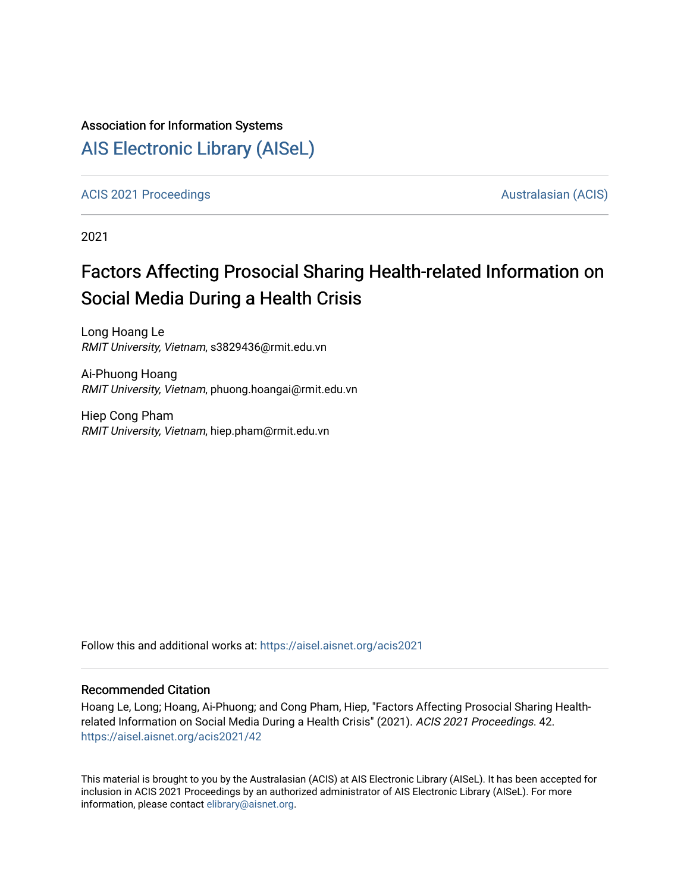### Association for Information Systems

## [AIS Electronic Library \(AISeL\)](https://aisel.aisnet.org/)

[ACIS 2021 Proceedings](https://aisel.aisnet.org/acis2021) [Australasian \(ACIS\)](https://aisel.aisnet.org/acis) Australasian (ACIS)

2021

# Factors Affecting Prosocial Sharing Health-related Information on Social Media During a Health Crisis

Long Hoang Le RMIT University, Vietnam, s3829436@rmit.edu.vn

Ai-Phuong Hoang RMIT University, Vietnam, phuong.hoangai@rmit.edu.vn

Hiep Cong Pham RMIT University, Vietnam, hiep.pham@rmit.edu.vn

Follow this and additional works at: [https://aisel.aisnet.org/acis2021](https://aisel.aisnet.org/acis2021?utm_source=aisel.aisnet.org%2Facis2021%2F42&utm_medium=PDF&utm_campaign=PDFCoverPages) 

#### Recommended Citation

Hoang Le, Long; Hoang, Ai-Phuong; and Cong Pham, Hiep, "Factors Affecting Prosocial Sharing Healthrelated Information on Social Media During a Health Crisis" (2021). ACIS 2021 Proceedings. 42. [https://aisel.aisnet.org/acis2021/42](https://aisel.aisnet.org/acis2021/42?utm_source=aisel.aisnet.org%2Facis2021%2F42&utm_medium=PDF&utm_campaign=PDFCoverPages)

This material is brought to you by the Australasian (ACIS) at AIS Electronic Library (AISeL). It has been accepted for inclusion in ACIS 2021 Proceedings by an authorized administrator of AIS Electronic Library (AISeL). For more information, please contact [elibrary@aisnet.org.](mailto:elibrary@aisnet.org%3E)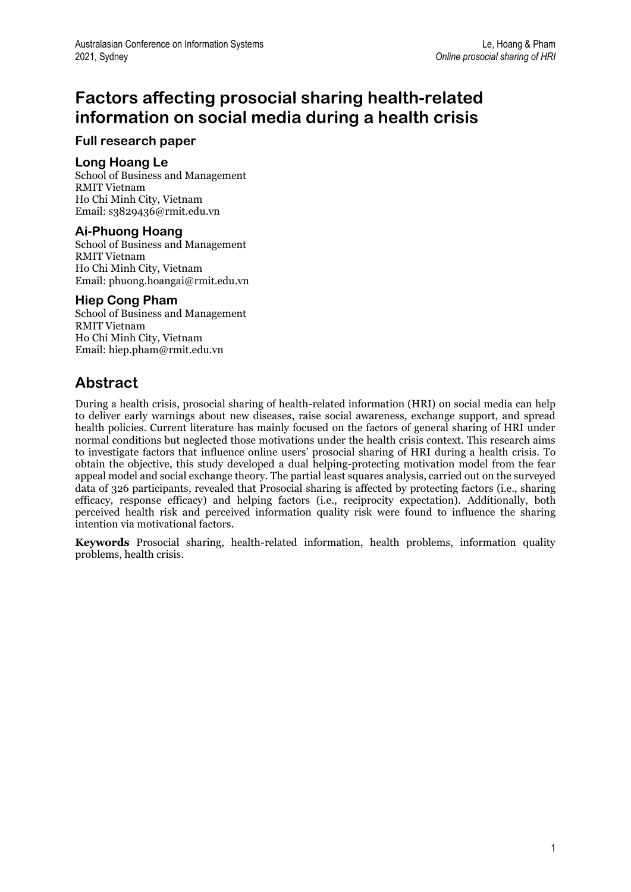## **Factors affecting prosocial sharing health-related information on social media during a health crisis**

### **Full research paper**

### **Long Hoang Le**

School of Business and Management RMIT Vietnam Ho Chi Minh City, Vietnam Email: s3829436@rmit.edu.vn

### **Ai-Phuong Hoang**

School of Business and Management RMIT Vietnam Ho Chi Minh City, Vietnam Email: phuong.hoangai@rmit.edu.vn

### **Hiep Cong Pham**

School of Business and Management RMIT Vietnam Ho Chi Minh City, Vietnam Email: hiep.pham@rmit.edu.vn

## **Abstract**

During a health crisis, prosocial sharing of health-related information (HRI) on social media can help to deliver early warnings about new diseases, raise social awareness, exchange support, and spread health policies. Current literature has mainly focused on the factors of general sharing of HRI under normal conditions but neglected those motivations under the health crisis context. This research aims to investigate factors that influence online users' prosocial sharing of HRI during a health crisis. To obtain the objective, this study developed a dual helping-protecting motivation model from the fear appeal model and social exchange theory. The partial least squares analysis, carried out on the surveyed data of 326 participants, revealed that Prosocial sharing is affected by protecting factors (i.e., sharing efficacy, response efficacy) and helping factors (i.e., reciprocity expectation). Additionally, both perceived health risk and perceived information quality risk were found to influence the sharing intention via motivational factors.

**Keywords** Prosocial sharing, health-related information, health problems, information quality problems, health crisis.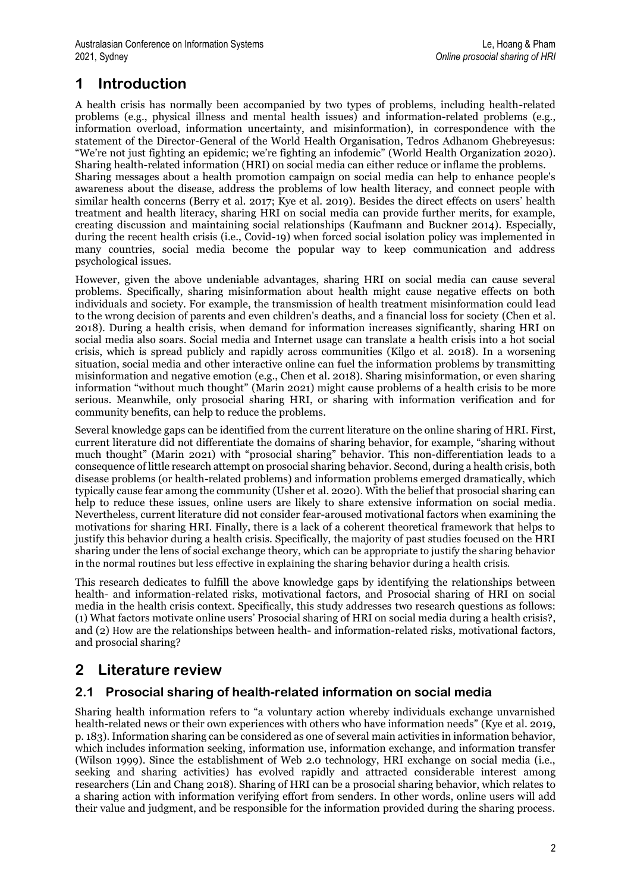## **1 Introduction**

A health crisis has normally been accompanied by two types of problems, including health-related problems (e.g., physical illness and mental health issues) and information-related problems (e.g., information overload, information uncertainty, and misinformation), in correspondence with the statement of the Director-General of the World Health Organisation, Tedros Adhanom Ghebreyesus: "We're not just fighting an epidemic; we're fighting an infodemic" (World Health Organization 2020). Sharing health-related information (HRI) on social media can either reduce or inflame the problems. Sharing messages about a health promotion campaign on social media can help to enhance people's awareness about the disease, address the problems of low health literacy, and connect people with similar health concerns (Berry et al. 2017; Kye et al. 2019). Besides the direct effects on users' health treatment and health literacy, sharing HRI on social media can provide further merits, for example, creating discussion and maintaining social relationships (Kaufmann and Buckner 2014). Especially, during the recent health crisis (i.e., Covid-19) when forced social isolation policy was implemented in many countries, social media become the popular way to keep communication and address psychological issues.

However, given the above undeniable advantages, sharing HRI on social media can cause several problems. Specifically, sharing misinformation about health might cause negative effects on both individuals and society. For example, the transmission of health treatment misinformation could lead to the wrong decision of parents and even children's deaths, and a financial loss for society (Chen et al. 2018). During a health crisis, when demand for information increases significantly, sharing HRI on social media also soars. Social media and Internet usage can translate a health crisis into a hot social crisis, which is spread publicly and rapidly across communities (Kilgo et al. 2018). In a worsening situation, social media and other interactive online can fuel the information problems by transmitting misinformation and negative emotion (e.g., Chen et al. 2018). Sharing misinformation, or even sharing information "without much thought" (Marin 2021) might cause problems of a health crisis to be more serious. Meanwhile, only prosocial sharing HRI, or sharing with information verification and for community benefits, can help to reduce the problems.

Several knowledge gaps can be identified from the current literature on the online sharing of HRI. First, current literature did not differentiate the domains of sharing behavior, for example, "sharing without much thought" (Marin 2021) with "prosocial sharing" behavior. This non-differentiation leads to a consequence of little research attempt on prosocial sharing behavior. Second, during a health crisis, both disease problems (or health-related problems) and information problems emerged dramatically, which typically cause fear among the community (Usher et al. 2020). With the belief that prosocial sharing can help to reduce these issues, online users are likely to share extensive information on social media. Nevertheless, current literature did not consider fear-aroused motivational factors when examining the motivations for sharing HRI. Finally, there is a lack of a coherent theoretical framework that helps to justify this behavior during a health crisis. Specifically, the majority of past studies focused on the HRI sharing under the lens of social exchange theory, which can be appropriate to justify the sharing behavior in the normal routines but less effective in explaining the sharing behavior during a health crisis.

This research dedicates to fulfill the above knowledge gaps by identifying the relationships between health- and information-related risks, motivational factors, and Prosocial sharing of HRI on social media in the health crisis context. Specifically, this study addresses two research questions as follows: (1) What factors motivate online users' Prosocial sharing of HRI on social media during a health crisis?, and (2) How are the relationships between health- and information-related risks, motivational factors, and prosocial sharing?

## **2 Literature review**

## **2.1 Prosocial sharing of health-related information on social media**

Sharing health information refers to "a voluntary action whereby individuals exchange unvarnished health-related news or their own experiences with others who have information needs" (Kye et al. 2019, p. 183). Information sharing can be considered as one of several main activities in information behavior, which includes information seeking, information use, information exchange, and information transfer (Wilson 1999). Since the establishment of Web 2.0 technology, HRI exchange on social media (i.e., seeking and sharing activities) has evolved rapidly and attracted considerable interest among researchers (Lin and Chang 2018). Sharing of HRI can be a prosocial sharing behavior, which relates to a sharing action with information verifying effort from senders. In other words, online users will add their value and judgment, and be responsible for the information provided during the sharing process.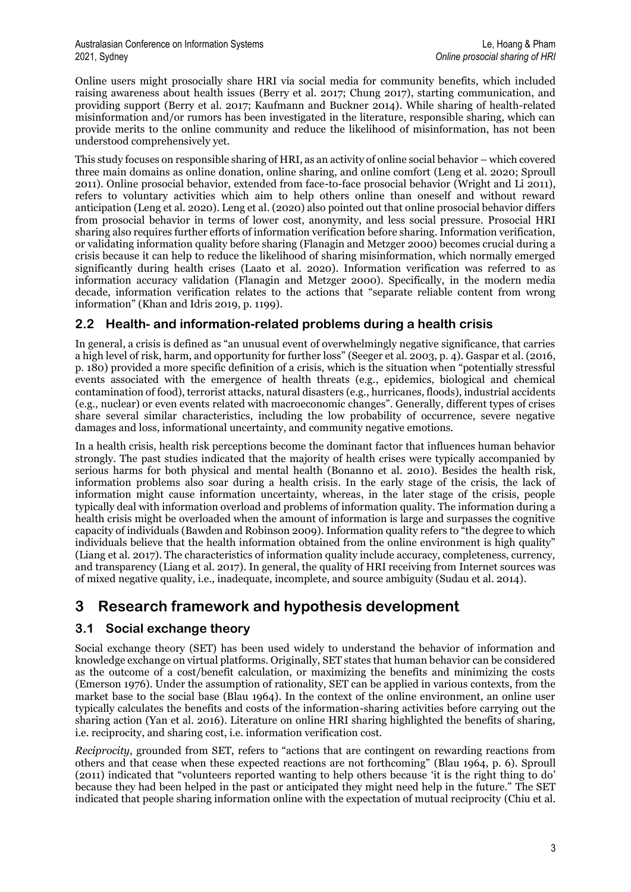Online users might prosocially share HRI via social media for community benefits, which included raising awareness about health issues (Berry et al. 2017; Chung 2017), starting communication, and providing support (Berry et al. 2017; Kaufmann and Buckner 2014). While sharing of health-related misinformation and/or rumors has been investigated in the literature, responsible sharing, which can provide merits to the online community and reduce the likelihood of misinformation, has not been understood comprehensively yet.

This study focuses on responsible sharing of HRI, as an activity of online social behavior – which covered three main domains as online donation, online sharing, and online comfort (Leng et al. 2020; Sproull 2011). Online prosocial behavior, extended from face-to-face prosocial behavior (Wright and Li 2011), refers to voluntary activities which aim to help others online than oneself and without reward anticipation (Leng et al. 2020). Leng et al. (2020) also pointed out that online prosocial behavior differs from prosocial behavior in terms of lower cost, anonymity, and less social pressure. Prosocial HRI sharing also requires further efforts of information verification before sharing. Information verification, or validating information quality before sharing (Flanagin and Metzger 2000) becomes crucial during a crisis because it can help to reduce the likelihood of sharing misinformation, which normally emerged significantly during health crises (Laato et al. 2020). Information verification was referred to as information accuracy validation (Flanagin and Metzger 2000). Specifically, in the modern media decade, information verification relates to the actions that "separate reliable content from wrong information" (Khan and Idris 2019, p. 1199).

## **2.2 Health- and information-related problems during a health crisis**

In general, a crisis is defined as "an unusual event of overwhelmingly negative significance, that carries a high level of risk, harm, and opportunity for further loss" (Seeger et al. 2003, p. 4). Gaspar et al. (2016, p. 180) provided a more specific definition of a crisis, which is the situation when "potentially stressful events associated with the emergence of health threats (e.g., epidemics, biological and chemical contamination of food), terrorist attacks, natural disasters (e.g., hurricanes, floods), industrial accidents (e.g., nuclear) or even events related with macroeconomic changes". Generally, different types of crises share several similar characteristics, including the low probability of occurrence, severe negative damages and loss, informational uncertainty, and community negative emotions.

In a health crisis, health risk perceptions become the dominant factor that influences human behavior strongly. The past studies indicated that the majority of health crises were typically accompanied by serious harms for both physical and mental health (Bonanno et al. 2010). Besides the health risk, information problems also soar during a health crisis. In the early stage of the crisis, the lack of information might cause information uncertainty, whereas, in the later stage of the crisis, people typically deal with information overload and problems of information quality. The information during a health crisis might be overloaded when the amount of information is large and surpasses the cognitive capacity of individuals (Bawden and Robinson 2009). Information quality refers to "the degree to which individuals believe that the health information obtained from the online environment is high quality" (Liang et al. 2017). The characteristics of information quality include accuracy, completeness, currency, and transparency (Liang et al. 2017). In general, the quality of HRI receiving from Internet sources was of mixed negative quality, i.e., inadequate, incomplete, and source ambiguity (Sudau et al. 2014).

## **3 Research framework and hypothesis development**

## **3.1 Social exchange theory**

Social exchange theory (SET) has been used widely to understand the behavior of information and knowledge exchange on virtual platforms. Originally, SET states that human behavior can be considered as the outcome of a cost/benefit calculation, or maximizing the benefits and minimizing the costs (Emerson 1976). Under the assumption of rationality, SET can be applied in various contexts, from the market base to the social base (Blau 1964). In the context of the online environment, an online user typically calculates the benefits and costs of the information-sharing activities before carrying out the sharing action (Yan et al. 2016). Literature on online HRI sharing highlighted the benefits of sharing, i.e. reciprocity, and sharing cost, i.e. information verification cost.

*Reciprocity*, grounded from SET, refers to "actions that are contingent on rewarding reactions from others and that cease when these expected reactions are not forthcoming" (Blau 1964, p. 6). Sproull (2011) indicated that "volunteers reported wanting to help others because 'it is the right thing to do' because they had been helped in the past or anticipated they might need help in the future." The SET indicated that people sharing information online with the expectation of mutual reciprocity (Chiu et al.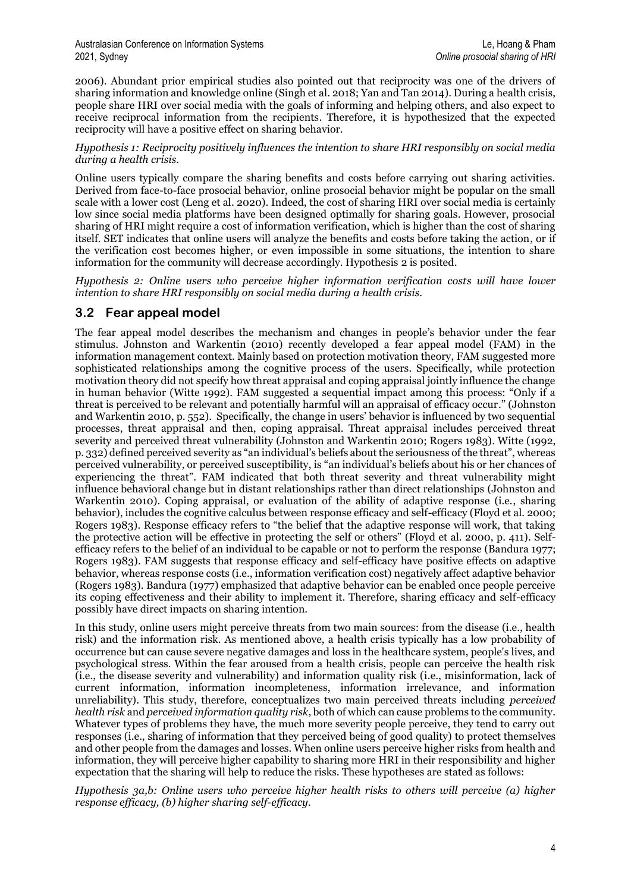2006). Abundant prior empirical studies also pointed out that reciprocity was one of the drivers of sharing information and knowledge online (Singh et al. 2018; Yan and Tan 2014). During a health crisis, people share HRI over social media with the goals of informing and helping others, and also expect to receive reciprocal information from the recipients. Therefore, it is hypothesized that the expected reciprocity will have a positive effect on sharing behavior.

*Hypothesis 1: Reciprocity positively influences the intention to share HRI responsibly on social media during a health crisis.*

Online users typically compare the sharing benefits and costs before carrying out sharing activities. Derived from face-to-face prosocial behavior, online prosocial behavior might be popular on the small scale with a lower cost (Leng et al. 2020). Indeed, the cost of sharing HRI over social media is certainly low since social media platforms have been designed optimally for sharing goals. However, prosocial sharing of HRI might require a cost of information verification, which is higher than the cost of sharing itself. SET indicates that online users will analyze the benefits and costs before taking the action, or if the verification cost becomes higher, or even impossible in some situations, the intention to share information for the community will decrease accordingly. Hypothesis 2 is posited.

*Hypothesis 2: Online users who perceive higher information verification costs will have lower intention to share HRI responsibly on social media during a health crisis.*

### **3.2 Fear appeal model**

The fear appeal model describes the mechanism and changes in people's behavior under the fear stimulus. Johnston and Warkentin (2010) recently developed a fear appeal model (FAM) in the information management context. Mainly based on protection motivation theory, FAM suggested more sophisticated relationships among the cognitive process of the users. Specifically, while protection motivation theory did not specify how threat appraisal and coping appraisal jointly influence the change in human behavior (Witte 1992). FAM suggested a sequential impact among this process: "Only if a threat is perceived to be relevant and potentially harmful will an appraisal of efficacy occur." (Johnston and Warkentin 2010, p. 552). Specifically, the change in users' behavior is influenced by two sequential processes, threat appraisal and then, coping appraisal. Threat appraisal includes perceived threat severity and perceived threat vulnerability (Johnston and Warkentin 2010; Rogers 1983). Witte (1992, p. 332) defined perceived severity as "an individual's beliefs about the seriousness of the threat", whereas perceived vulnerability, or perceived susceptibility, is "an individual's beliefs about his or her chances of experiencing the threat". FAM indicated that both threat severity and threat vulnerability might influence behavioral change but in distant relationships rather than direct relationships (Johnston and Warkentin 2010). Coping appraisal, or evaluation of the ability of adaptive response (i.e., sharing behavior), includes the cognitive calculus between response efficacy and self-efficacy (Floyd et al. 2000; Rogers 1983). Response efficacy refers to "the belief that the adaptive response will work, that taking the protective action will be effective in protecting the self or others" (Floyd et al. 2000, p. 411). Selfefficacy refers to the belief of an individual to be capable or not to perform the response (Bandura 1977; Rogers 1983). FAM suggests that response efficacy and self-efficacy have positive effects on adaptive behavior, whereas response costs (i.e., information verification cost) negatively affect adaptive behavior (Rogers 1983). Bandura (1977) emphasized that adaptive behavior can be enabled once people perceive its coping effectiveness and their ability to implement it. Therefore, sharing efficacy and self-efficacy possibly have direct impacts on sharing intention.

In this study, online users might perceive threats from two main sources: from the disease (i.e., health risk) and the information risk. As mentioned above, a health crisis typically has a low probability of occurrence but can cause severe negative damages and loss in the healthcare system, people's lives, and psychological stress. Within the fear aroused from a health crisis, people can perceive the health risk (i.e., the disease severity and vulnerability) and information quality risk (i.e., misinformation, lack of current information, information incompleteness, information irrelevance, and information unreliability). This study, therefore, conceptualizes two main perceived threats including *perceived health risk* and *perceived information quality risk*, both of which can cause problems to the community. Whatever types of problems they have, the much more severity people perceive, they tend to carry out responses (i.e., sharing of information that they perceived being of good quality) to protect themselves and other people from the damages and losses. When online users perceive higher risks from health and information, they will perceive higher capability to sharing more HRI in their responsibility and higher expectation that the sharing will help to reduce the risks. These hypotheses are stated as follows:

*Hypothesis 3a,b: Online users who perceive higher health risks to others will perceive (a) higher response efficacy, (b) higher sharing self-efficacy.*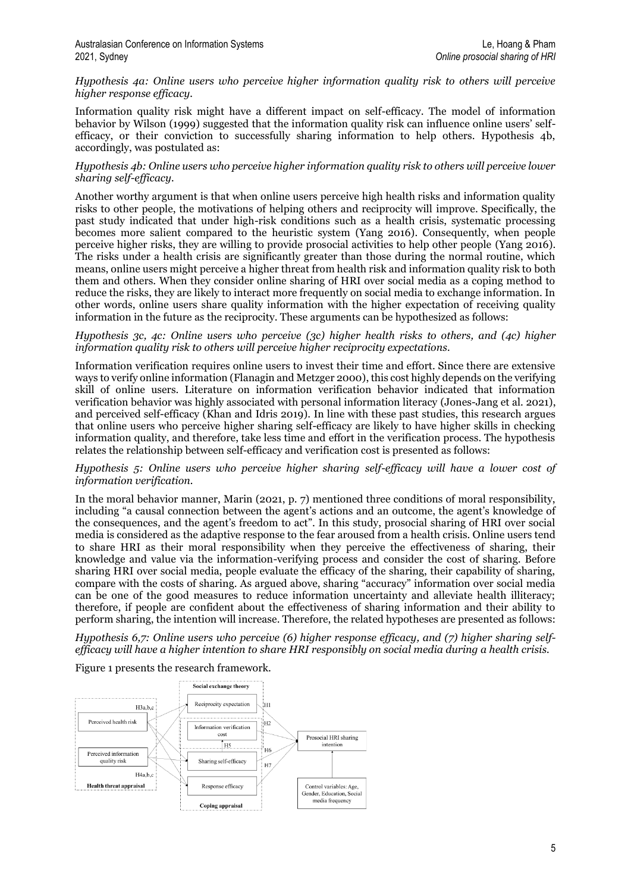#### *Hypothesis 4a: Online users who perceive higher information quality risk to others will perceive higher response efficacy.*

Information quality risk might have a different impact on self-efficacy. The model of information behavior by Wilson (1999) suggested that the information quality risk can influence online users' selfefficacy, or their conviction to successfully sharing information to help others. Hypothesis 4b, accordingly, was postulated as:

#### *Hypothesis 4b: Online users who perceive higher information quality risk to others will perceive lower sharing self-efficacy.*

Another worthy argument is that when online users perceive high health risks and information quality risks to other people, the motivations of helping others and reciprocity will improve. Specifically, the past study indicated that under high-risk conditions such as a health crisis, systematic processing becomes more salient compared to the heuristic system (Yang 2016). Consequently, when people perceive higher risks, they are willing to provide prosocial activities to help other people (Yang 2016). The risks under a health crisis are significantly greater than those during the normal routine, which means, online users might perceive a higher threat from health risk and information quality risk to both them and others. When they consider online sharing of HRI over social media as a coping method to reduce the risks, they are likely to interact more frequently on social media to exchange information. In other words, online users share quality information with the higher expectation of receiving quality information in the future as the reciprocity. These arguments can be hypothesized as follows:

#### *Hypothesis 3c, 4c: Online users who perceive (3c) higher health risks to others, and (4c) higher information quality risk to others will perceive higher reciprocity expectations.*

Information verification requires online users to invest their time and effort. Since there are extensive ways to verify online information (Flanagin and Metzger 2000), this cost highly depends on the verifying skill of online users. Literature on information verification behavior indicated that information verification behavior was highly associated with personal information literacy (Jones-Jang et al. 2021), and perceived self-efficacy (Khan and Idris 2019). In line with these past studies, this research argues that online users who perceive higher sharing self-efficacy are likely to have higher skills in checking information quality, and therefore, take less time and effort in the verification process. The hypothesis relates the relationship between self-efficacy and verification cost is presented as follows:

#### *Hypothesis 5: Online users who perceive higher sharing self-efficacy will have a lower cost of information verification.*

In the moral behavior manner, Marin (2021, p. 7) mentioned three conditions of moral responsibility, including "a causal connection between the agent's actions and an outcome, the agent's knowledge of the consequences, and the agent's freedom to act". In this study, prosocial sharing of HRI over social media is considered as the adaptive response to the fear aroused from a health crisis. Online users tend to share HRI as their moral responsibility when they perceive the effectiveness of sharing, their knowledge and value via the information-verifying process and consider the cost of sharing. Before sharing HRI over social media, people evaluate the efficacy of the sharing, their capability of sharing, compare with the costs of sharing. As argued above, sharing "accuracy" information over social media can be one of the good measures to reduce information uncertainty and alleviate health illiteracy; therefore, if people are confident about the effectiveness of sharing information and their ability to perform sharing, the intention will increase. Therefore, the related hypotheses are presented as follows:

*Hypothesis 6,7: Online users who perceive (6) higher response efficacy, and (7) higher sharing selfefficacy will have a higher intention to share HRI responsibly on social media during a health crisis.*

Figure 1 presents the research framework.

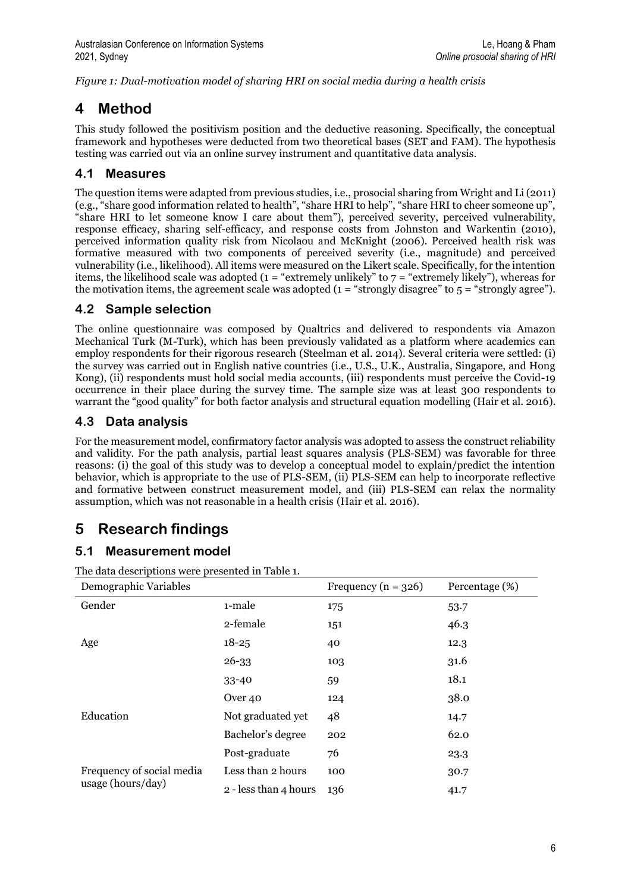*Figure 1: Dual-motivation model of sharing HRI on social media during a health crisis*

## **4 Method**

This study followed the positivism position and the deductive reasoning. Specifically, the conceptual framework and hypotheses were deducted from two theoretical bases (SET and FAM). The hypothesis testing was carried out via an online survey instrument and quantitative data analysis.

## **4.1 Measures**

The question items were adapted from previous studies, i.e., prosocial sharing from Wright and Li (2011) (e.g., "share good information related to health", "share HRI to help", "share HRI to cheer someone up", "share HRI to let someone know I care about them"), perceived severity, perceived vulnerability, response efficacy, sharing self-efficacy, and response costs from Johnston and Warkentin (2010), perceived information quality risk from Nicolaou and McKnight (2006). Perceived health risk was formative measured with two components of perceived severity (i.e., magnitude) and perceived vulnerability (i.e., likelihood). All items were measured on the Likert scale. Specifically, for the intention items, the likelihood scale was adopted ( $1 =$  "extremely unlikely" to  $7 =$  "extremely likely"), whereas for the motivation items, the agreement scale was adopted  $(1 - "strongly disagree" to 5 = "strongly agree").$ 

## **4.2 Sample selection**

The online questionnaire was composed by Qualtrics and delivered to respondents via Amazon Mechanical Turk (M-Turk), which has been previously validated as a platform where academics can employ respondents for their rigorous research (Steelman et al. 2014). Several criteria were settled: (i) the survey was carried out in English native countries (i.e., U.S., U.K., Australia, Singapore, and Hong Kong), (ii) respondents must hold social media accounts, (iii) respondents must perceive the Covid-19 occurrence in their place during the survey time. The sample size was at least 300 respondents to warrant the "good quality" for both factor analysis and structural equation modelling (Hair et al. 2016).

## **4.3 Data analysis**

For the measurement model, confirmatory factor analysis was adopted to assess the construct reliability and validity. For the path analysis, partial least squares analysis (PLS-SEM) was favorable for three reasons: (i) the goal of this study was to develop a conceptual model to explain/predict the intention behavior, which is appropriate to the use of PLS-SEM, (ii) PLS-SEM can help to incorporate reflective and formative between construct measurement model, and (iii) PLS-SEM can relax the normality assumption, which was not reasonable in a health crisis (Hair et al. 2016).

## **5 Research findings**

## **5.1 Measurement model**

The data descriptions were presented in Table 1.

| Demographic Variables                          |                       | Frequency ( $n = 326$ ) | Percentage (%) |
|------------------------------------------------|-----------------------|-------------------------|----------------|
| Gender                                         | 1-male                | 175                     | 53.7           |
|                                                | 2-female              | 151                     | 46.3           |
| Age                                            | $18 - 25$             | 40                      | 12.3           |
|                                                | $26 - 33$             | 103                     | 31.6           |
|                                                | $33 - 40$             | 59                      | 18.1           |
| Education                                      | Over <sub>40</sub>    | 124                     | 38.0           |
|                                                | Not graduated yet     | 48                      | 14.7           |
|                                                | Bachelor's degree     | 202                     | 62.0           |
|                                                | Post-graduate         | 76                      | 23.3           |
| Frequency of social media<br>usage (hours/day) | Less than 2 hours     | 100                     | 30.7           |
|                                                | 2 - less than 4 hours | 136                     | 41.7           |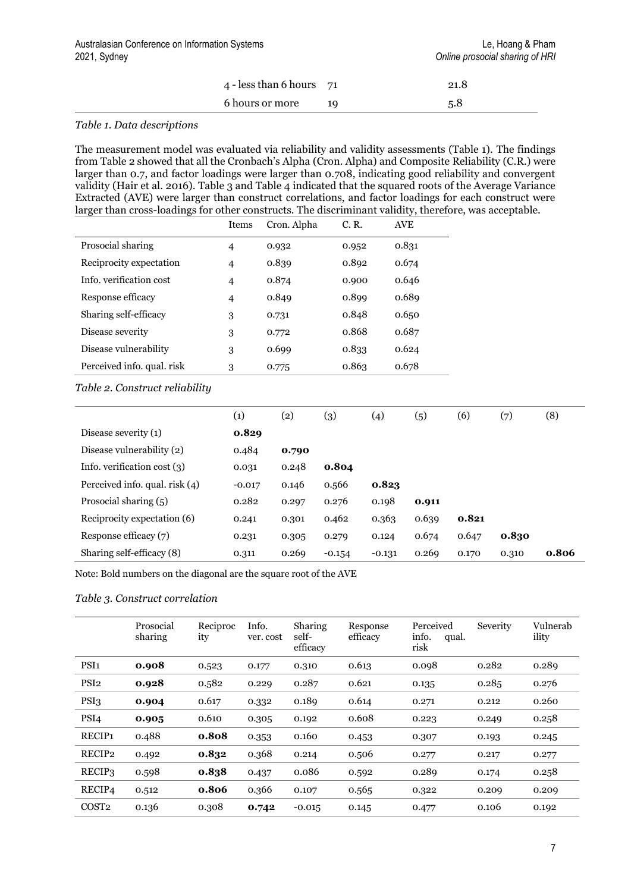| 4 - less than 6 hours $\quad 71$ |      | 21.8 |  |
|----------------------------------|------|------|--|
| 6 hours or more                  | - 19 | 5.8  |  |

#### *Table 1. Data descriptions*

The measurement model was evaluated via reliability and validity assessments (Table 1). The findings from Table 2 showed that all the Cronbach's Alpha (Cron. Alpha) and Composite Reliability (C.R.) were larger than 0.7, and factor loadings were larger than 0.708, indicating good reliability and convergent validity (Hair et al. 2016). Table 3 and Table 4 indicated that the squared roots of the Average Variance Extracted (AVE) were larger than construct correlations, and factor loadings for each construct were larger than cross-loadings for other constructs. The discriminant validity, therefore, was acceptable.

|                            | Items          | Cron. Alpha | C. R. | <b>AVE</b> |
|----------------------------|----------------|-------------|-------|------------|
| Prosocial sharing          | $\overline{4}$ | 0.932       | 0.952 | 0.831      |
| Reciprocity expectation    | $\overline{4}$ | 0.839       | 0.892 | 0.674      |
| Info. verification cost    | $\overline{4}$ | 0.874       | 0.900 | 0.646      |
| Response efficacy          | $\overline{4}$ | 0.849       | 0.899 | 0.689      |
| Sharing self-efficacy      | 3              | 0.731       | 0.848 | 0.650      |
| Disease severity           | 3              | 0.772       | 0.868 | 0.687      |
| Disease vulnerability      | 3              | 0.699       | 0.833 | 0.624      |
| Perceived info. qual. risk | 3              | 0.775       | 0.863 | 0.678      |

*Table 2. Construct reliability*

|                                  | $\left( 1\right)$ | $\left( 2\right)$ | $\left( 3\right)$ | (4)      | (5)   | (6)   | (7)   | (8)   |
|----------------------------------|-------------------|-------------------|-------------------|----------|-------|-------|-------|-------|
| Disease severity $(1)$           | 0.829             |                   |                   |          |       |       |       |       |
| Disease vulnerability (2)        | 0.484             | 0.790             |                   |          |       |       |       |       |
| Info. verification cost $(3)$    | 0.031             | 0.248             | 0.804             |          |       |       |       |       |
| Perceived info. qual. risk $(4)$ | $-0.017$          | 0.146             | 0.566             | 0.823    |       |       |       |       |
| Prosocial sharing (5)            | 0.282             | 0.297             | 0.276             | 0.198    | 0.911 |       |       |       |
| Reciprocity expectation (6)      | 0.241             | 0.301             | 0.462             | 0.363    | 0.639 | 0.821 |       |       |
| Response efficacy (7)            | 0.231             | 0.305             | 0.279             | 0.124    | 0.674 | 0.647 | 0.830 |       |
| Sharing self-efficacy (8)        | 0.311             | 0.269             | $-0.154$          | $-0.131$ | 0.269 | 0.170 | 0.310 | 0.806 |

Note: Bold numbers on the diagonal are the square root of the AVE

#### *Table 3. Construct correlation*

|                    | Prosocial<br>sharing | Reciproc<br>ity | Info.<br>ver. cost | Sharing<br>self-<br>efficacy | Response<br>efficacy | Perceived<br>info.<br>qual.<br>risk | Severity | Vulnerab<br>ility |
|--------------------|----------------------|-----------------|--------------------|------------------------------|----------------------|-------------------------------------|----------|-------------------|
| PSI <sub>1</sub>   | 0.908                | 0.523           | 0.177              | 0.310                        | 0.613                | 0.098                               | 0.282    | 0.289             |
| PSI <sub>2</sub>   | 0.928                | 0.582           | 0.229              | 0.287                        | 0.621                | 0.135                               | 0.285    | 0.276             |
| PSI <sub>3</sub>   | 0.904                | 0.617           | 0.332              | 0.189                        | 0.614                | 0.271                               | 0.212    | 0.260             |
| PSI <sub>4</sub>   | 0.905                | 0.610           | 0.305              | 0.192                        | 0.608                | 0.223                               | 0.249    | 0.258             |
| RECIP <sub>1</sub> | 0.488                | 0.808           | 0.353              | 0.160                        | 0.453                | 0.307                               | 0.193    | 0.245             |
| RECIP2             | 0.492                | 0.832           | 0.368              | 0.214                        | 0.506                | 0.277                               | 0.217    | 0.277             |
| RECIP3             | 0.598                | 0.838           | 0.437              | 0.086                        | 0.592                | 0.289                               | 0.174    | 0.258             |
| RECIP4             | 0.512                | 0.806           | 0.366              | 0.107                        | 0.565                | 0.322                               | 0.209    | 0.209             |
| COST <sub>2</sub>  | 0.136                | 0.308           | 0.742              | $-0.015$                     | 0.145                | 0.477                               | 0.106    | 0.192             |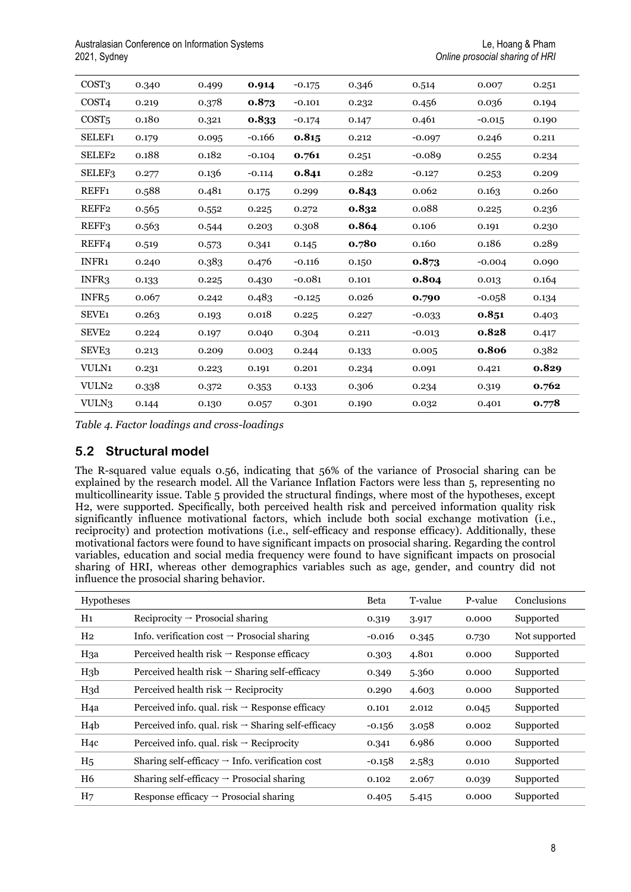Australasian Conference on Information Systems Le, Hoang & Pham 2021, Sydney *Online prosocial sharing of HRI*

| COST3              | 0.340 | 0.499 | 0.914    | $-0.175$ | 0.346 | 0.514    | 0.007    | 0.251 |
|--------------------|-------|-------|----------|----------|-------|----------|----------|-------|
| COST <sub>4</sub>  | 0.219 | 0.378 | 0.873    | $-0.101$ | 0.232 | 0.456    | 0.036    | 0.194 |
| COST <sub>5</sub>  | 0.180 | 0.321 | 0.833    | $-0.174$ | 0.147 | 0.461    | $-0.015$ | 0.190 |
| <b>SELEF1</b>      | 0.179 | 0.095 | $-0.166$ | 0.815    | 0.212 | $-0.097$ | 0.246    | 0.211 |
| SELEF <sub>2</sub> | 0.188 | 0.182 | $-0.104$ | 0.761    | 0.251 | $-0.089$ | 0.255    | 0.234 |
| <b>SELEF3</b>      | 0.277 | 0.136 | $-0.114$ | 0.841    | 0.282 | $-0.127$ | 0.253    | 0.209 |
| REFF1              | 0.588 | 0.481 | 0.175    | 0.299    | 0.843 | 0.062    | 0.163    | 0.260 |
| REFF2              | 0.565 | 0.552 | 0.225    | 0.272    | 0.832 | 0.088    | 0.225    | 0.236 |
| REFF3              | 0.563 | 0.544 | 0.203    | 0.308    | 0.864 | 0.106    | 0.191    | 0.230 |
| REFF4              | 0.519 | 0.573 | 0.341    | 0.145    | 0.780 | 0.160    | 0.186    | 0.289 |
| INFR1              | 0.240 | 0.383 | 0.476    | $-0.116$ | 0.150 | 0.873    | $-0.004$ | 0.090 |
| INFR3              | 0.133 | 0.225 | 0.430    | $-0.081$ | 0.101 | 0.804    | 0.013    | 0.164 |
| INFR <sub>5</sub>  | 0.067 | 0.242 | 0.483    | $-0.125$ | 0.026 | 0.790    | $-0.058$ | 0.134 |
| SEVE <sub>1</sub>  | 0.263 | 0.193 | 0.018    | 0.225    | 0.227 | $-0.033$ | 0.851    | 0.403 |
| SEVE <sub>2</sub>  | 0.224 | 0.197 | 0.040    | 0.304    | 0.211 | $-0.013$ | 0.828    | 0.417 |
| <b>SEVE3</b>       | 0.213 | 0.209 | 0.003    | 0.244    | 0.133 | 0.005    | 0.806    | 0.382 |
| <b>VULN1</b>       | 0.231 | 0.223 | 0.191    | 0.201    | 0.234 | 0.091    | 0.421    | 0.829 |
| VULN2              | 0.338 | 0.372 | 0.353    | 0.133    | 0.306 | 0.234    | 0.319    | 0.762 |
| VULN3              | 0.144 | 0.130 | 0.057    | 0.301    | 0.190 | 0.032    | 0.401    | 0.778 |

*Table 4. Factor loadings and cross-loadings*

### **5.2 Structural model**

The R-squared value equals 0.56, indicating that 56% of the variance of Prosocial sharing can be explained by the research model. All the Variance Inflation Factors were less than 5, representing no multicollinearity issue. Table 5 provided the structural findings, where most of the hypotheses, except H2, were supported. Specifically, both perceived health risk and perceived information quality risk significantly influence motivational factors, which include both social exchange motivation (i.e., reciprocity) and protection motivations (i.e., self-efficacy and response efficacy). Additionally, these motivational factors were found to have significant impacts on prosocial sharing. Regarding the control variables, education and social media frequency were found to have significant impacts on prosocial sharing of HRI, whereas other demographics variables such as age, gender, and country did not influence the prosocial sharing behavior.

| Hypotheses       |                                                                | Beta     | T-value | P-value | Conclusions   |
|------------------|----------------------------------------------------------------|----------|---------|---------|---------------|
| H1               | Reciprocity $\rightarrow$ Prosocial sharing                    | 0.319    | 3.917   | 0.000   | Supported     |
| $_{\rm H2}$      | Info. verification cost $\rightarrow$ Prosocial sharing        | $-0.016$ | 0.345   | 0.730   | Not supported |
| H3a              | Perceived health risk $\rightarrow$ Response efficacy          | 0.303    | 4.801   | 0.000   | Supported     |
| H <sub>3</sub> b | Perceived health risk $\rightarrow$ Sharing self-efficacy      | 0.349    | 5.360   | 0.000   | Supported     |
| H3d              | Perceived health risk $\rightarrow$ Reciprocity                | 0.290    | 4.603   | 0.000   | Supported     |
| H <sub>4</sub> a | Perceived info. qual. risk $\rightarrow$ Response efficacy     | 0.101    | 2.012   | 0.045   | Supported     |
| H <sub>4</sub> b | Perceived info. qual. risk $\rightarrow$ Sharing self-efficacy | $-0.156$ | 3.058   | 0.002   | Supported     |
| H <sub>4</sub> c | Perceived info. qual. risk $\rightarrow$ Reciprocity           | 0.341    | 6.986   | 0.000   | Supported     |
| $_{\rm H_5}$     | Sharing self-efficacy $\rightarrow$ Info. verification cost    | $-0.158$ | 2.583   | 0.010   | Supported     |
| H <sub>6</sub>   | Sharing self-efficacy $\rightarrow$ Prosocial sharing          | 0.102    | 2.067   | 0.039   | Supported     |
| H <sub>7</sub>   | Response efficacy $\rightarrow$ Prosocial sharing              | 0.405    | 5.415   | 0.000   | Supported     |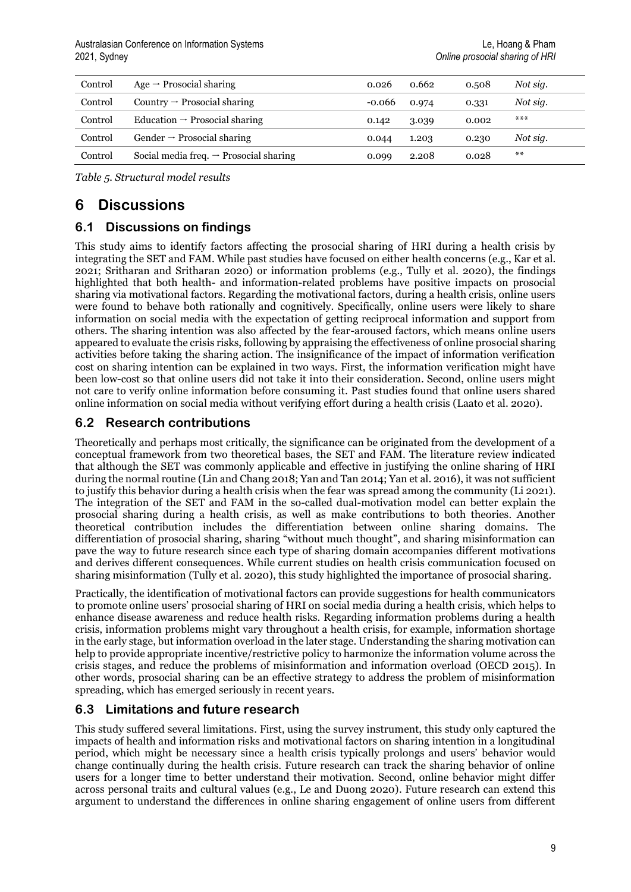| Control | Age $\rightarrow$ Prosocial sharing                | 0.026    | 0.662 | 0.508 | Not sig. |
|---------|----------------------------------------------------|----------|-------|-------|----------|
| Control | Country $\rightarrow$ Prosocial sharing            | $-0.066$ | 0.974 | 0.331 | Not sig. |
| Control | Education $\rightarrow$ Prosocial sharing          | 0.142    | 3.039 | 0.002 | $***$    |
| Control | Gender $\rightarrow$ Prosocial sharing             | 0.044    | 1.203 | 0.230 | Not sig. |
| Control | Social media freq. $\rightarrow$ Prosocial sharing | 0.099    | 2.208 | 0.028 | $***$    |

*Table 5. Structural model results*

## **6 Discussions**

## **6.1 Discussions on findings**

This study aims to identify factors affecting the prosocial sharing of HRI during a health crisis by integrating the SET and FAM. While past studies have focused on either health concerns (e.g., Kar et al. 2021; Sritharan and Sritharan 2020) or information problems (e.g., Tully et al. 2020), the findings highlighted that both health- and information-related problems have positive impacts on prosocial sharing via motivational factors. Regarding the motivational factors, during a health crisis, online users were found to behave both rationally and cognitively. Specifically, online users were likely to share information on social media with the expectation of getting reciprocal information and support from others. The sharing intention was also affected by the fear-aroused factors, which means online users appeared to evaluate the crisis risks, following by appraising the effectiveness of online prosocial sharing activities before taking the sharing action. The insignificance of the impact of information verification cost on sharing intention can be explained in two ways. First, the information verification might have been low-cost so that online users did not take it into their consideration. Second, online users might not care to verify online information before consuming it. Past studies found that online users shared online information on social media without verifying effort during a health crisis (Laato et al. 2020).

## **6.2 Research contributions**

Theoretically and perhaps most critically, the significance can be originated from the development of a conceptual framework from two theoretical bases, the SET and FAM. The literature review indicated that although the SET was commonly applicable and effective in justifying the online sharing of HRI during the normal routine (Lin and Chang 2018; Yan and Tan 2014; Yan et al. 2016), it was not sufficient to justify this behavior during a health crisis when the fear was spread among the community (Li 2021). The integration of the SET and FAM in the so-called dual-motivation model can better explain the prosocial sharing during a health crisis, as well as make contributions to both theories. Another theoretical contribution includes the differentiation between online sharing domains. The differentiation of prosocial sharing, sharing "without much thought", and sharing misinformation can pave the way to future research since each type of sharing domain accompanies different motivations and derives different consequences. While current studies on health crisis communication focused on sharing misinformation (Tully et al. 2020), this study highlighted the importance of prosocial sharing.

Practically, the identification of motivational factors can provide suggestions for health communicators to promote online users' prosocial sharing of HRI on social media during a health crisis, which helps to enhance disease awareness and reduce health risks. Regarding information problems during a health crisis, information problems might vary throughout a health crisis, for example, information shortage in the early stage, but information overload in the later stage. Understanding the sharing motivation can help to provide appropriate incentive/restrictive policy to harmonize the information volume across the crisis stages, and reduce the problems of misinformation and information overload (OECD 2015). In other words, prosocial sharing can be an effective strategy to address the problem of misinformation spreading, which has emerged seriously in recent years.

## **6.3 Limitations and future research**

This study suffered several limitations. First, using the survey instrument, this study only captured the impacts of health and information risks and motivational factors on sharing intention in a longitudinal period, which might be necessary since a health crisis typically prolongs and users' behavior would change continually during the health crisis. Future research can track the sharing behavior of online users for a longer time to better understand their motivation. Second, online behavior might differ across personal traits and cultural values (e.g., Le and Duong 2020). Future research can extend this argument to understand the differences in online sharing engagement of online users from different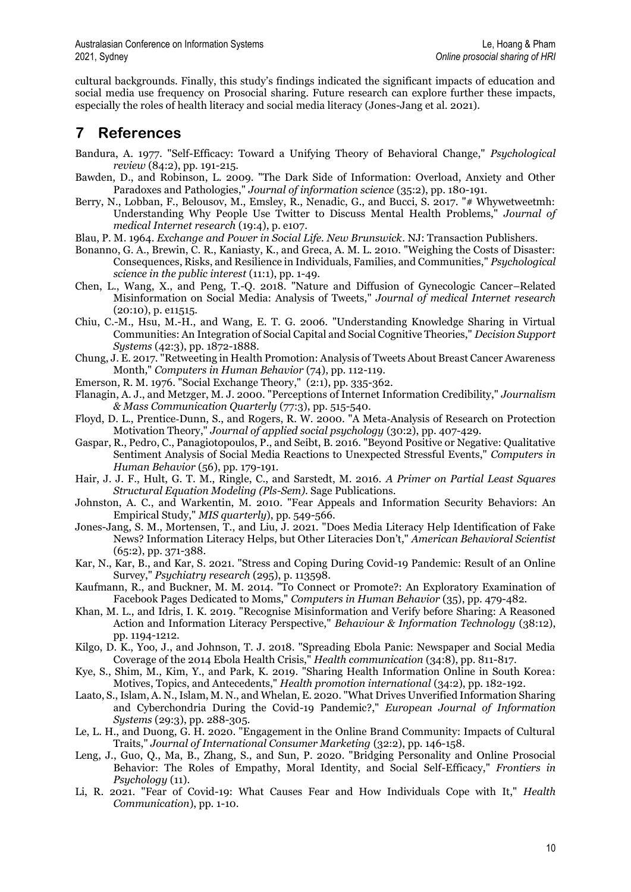cultural backgrounds. Finally, this study's findings indicated the significant impacts of education and social media use frequency on Prosocial sharing. Future research can explore further these impacts, especially the roles of health literacy and social media literacy (Jones-Jang et al. 2021).

## **7 References**

- Bandura, A. 1977. "Self-Efficacy: Toward a Unifying Theory of Behavioral Change," *Psychological review* (84:2), pp. 191-215.
- Bawden, D., and Robinson, L. 2009. "The Dark Side of Information: Overload, Anxiety and Other Paradoxes and Pathologies," *Journal of information science* (35:2), pp. 180-191.
- Berry, N., Lobban, F., Belousov, M., Emsley, R., Nenadic, G., and Bucci, S. 2017. "# Whywetweetmh: Understanding Why People Use Twitter to Discuss Mental Health Problems," *Journal of medical Internet research* (19:4), p. e107.
- Blau, P. M. 1964. *Exchange and Power in Social Life. New Brunswick*. NJ: Transaction Publishers.
- Bonanno, G. A., Brewin, C. R., Kaniasty, K., and Greca, A. M. L. 2010. "Weighing the Costs of Disaster: Consequences, Risks, and Resilience in Individuals, Families, and Communities," *Psychological science in the public interest* (11:1), pp. 1-49.
- Chen, L., Wang, X., and Peng, T.-Q. 2018. "Nature and Diffusion of Gynecologic Cancer–Related Misinformation on Social Media: Analysis of Tweets," *Journal of medical Internet research* (20:10), p. e11515.
- Chiu, C.-M., Hsu, M.-H., and Wang, E. T. G. 2006. "Understanding Knowledge Sharing in Virtual Communities: An Integration of Social Capital and Social Cognitive Theories," *Decision Support Systems* (42:3), pp. 1872-1888.
- Chung, J. E. 2017. "Retweeting in Health Promotion: Analysis of Tweets About Breast Cancer Awareness Month," *Computers in Human Behavior* (74), pp. 112-119.
- Emerson, R. M. 1976. "Social Exchange Theory," (2:1), pp. 335-362.
- Flanagin, A. J., and Metzger, M. J. 2000. "Perceptions of Internet Information Credibility," *Journalism & Mass Communication Quarterly* (77:3), pp. 515-540.
- Floyd, D. L., Prentice‐Dunn, S., and Rogers, R. W. 2000. "A Meta‐Analysis of Research on Protection Motivation Theory," *Journal of applied social psychology* (30:2), pp. 407-429.
- Gaspar, R., Pedro, C., Panagiotopoulos, P., and Seibt, B. 2016. "Beyond Positive or Negative: Qualitative Sentiment Analysis of Social Media Reactions to Unexpected Stressful Events," *Computers in Human Behavior* (56), pp. 179-191.
- Hair, J. J. F., Hult, G. T. M., Ringle, C., and Sarstedt, M. 2016. *A Primer on Partial Least Squares Structural Equation Modeling (Pls-Sem)*. Sage Publications.
- Johnston, A. C., and Warkentin, M. 2010. "Fear Appeals and Information Security Behaviors: An Empirical Study," *MIS quarterly*), pp. 549-566.
- Jones-Jang, S. M., Mortensen, T., and Liu, J. 2021. "Does Media Literacy Help Identification of Fake News? Information Literacy Helps, but Other Literacies Don't," *American Behavioral Scientist* (65:2), pp. 371-388.
- Kar, N., Kar, B., and Kar, S. 2021. "Stress and Coping During Covid-19 Pandemic: Result of an Online Survey," *Psychiatry research* (295), p. 113598.
- Kaufmann, R., and Buckner, M. M. 2014. "To Connect or Promote?: An Exploratory Examination of Facebook Pages Dedicated to Moms," *Computers in Human Behavior* (35), pp. 479-482.
- Khan, M. L., and Idris, I. K. 2019. "Recognise Misinformation and Verify before Sharing: A Reasoned Action and Information Literacy Perspective," *Behaviour & Information Technology* (38:12), pp. 1194-1212.
- Kilgo, D. K., Yoo, J., and Johnson, T. J. 2018. "Spreading Ebola Panic: Newspaper and Social Media Coverage of the 2014 Ebola Health Crisis," *Health communication* (34:8), pp. 811-817.
- Kye, S., Shim, M., Kim, Y., and Park, K. 2019. "Sharing Health Information Online in South Korea: Motives, Topics, and Antecedents," *Health promotion international* (34:2), pp. 182-192.
- Laato, S., Islam, A. N., Islam, M. N., and Whelan, E. 2020. "What Drives Unverified Information Sharing and Cyberchondria During the Covid-19 Pandemic?," *European Journal of Information Systems* (29:3), pp. 288-305.
- Le, L. H., and Duong, G. H. 2020. "Engagement in the Online Brand Community: Impacts of Cultural Traits," *Journal of International Consumer Marketing* (32:2), pp. 146-158.
- Leng, J., Guo, Q., Ma, B., Zhang, S., and Sun, P. 2020. "Bridging Personality and Online Prosocial Behavior: The Roles of Empathy, Moral Identity, and Social Self-Efficacy," *Frontiers in Psychology* (11).
- Li, R. 2021. "Fear of Covid-19: What Causes Fear and How Individuals Cope with It," *Health Communication*), pp. 1-10.